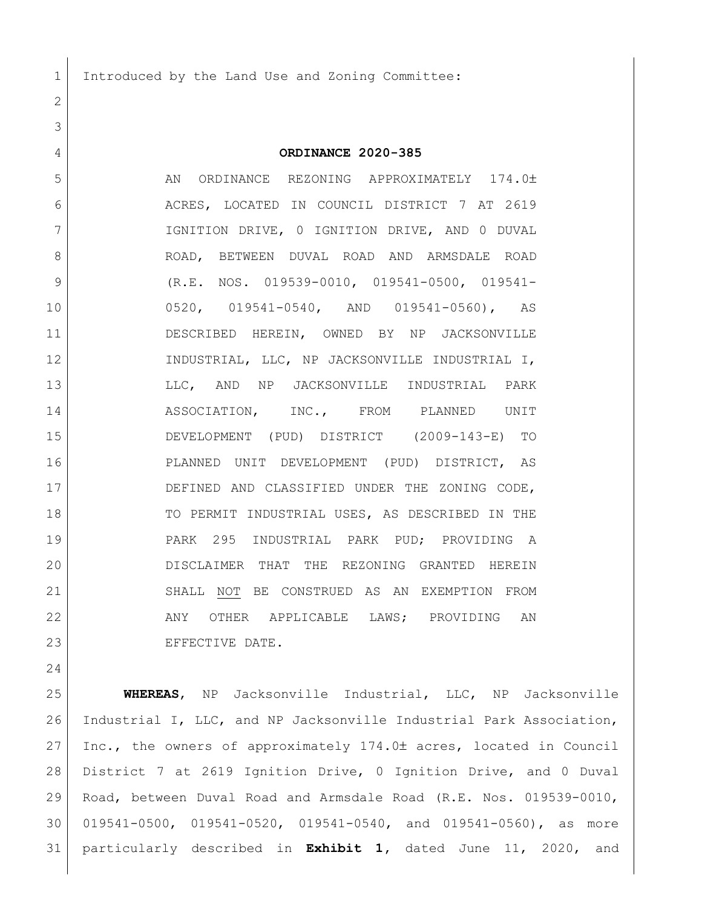Introduced by the Land Use and Zoning Committee:

## **ORDINANCE 2020-385**

5 AN ORDINANCE REZONING APPROXIMATELY 174.0± ACRES, LOCATED IN COUNCIL DISTRICT 7 AT 2619 IGNITION DRIVE, 0 IGNITION DRIVE, AND 0 DUVAL ROAD, BETWEEN DUVAL ROAD AND ARMSDALE ROAD (R.E. NOS. 019539-0010, 019541-0500, 019541- 0520, 019541-0540, AND 019541-0560), AS DESCRIBED HEREIN, OWNED BY NP JACKSONVILLE INDUSTRIAL, LLC, NP JACKSONVILLE INDUSTRIAL I, LLC, AND NP JACKSONVILLE INDUSTRIAL PARK 14 ASSOCIATION, INC., FROM PLANNED UNIT DEVELOPMENT (PUD) DISTRICT (2009-143-E) TO PLANNED UNIT DEVELOPMENT (PUD) DISTRICT, AS DEFINED AND CLASSIFIED UNDER THE ZONING CODE, 18 | TO PERMIT INDUSTRIAL USES, AS DESCRIBED IN THE PARK 295 INDUSTRIAL PARK PUD; PROVIDING A DISCLAIMER THAT THE REZONING GRANTED HEREIN 21 SHALL NOT BE CONSTRUED AS AN EXEMPTION FROM 22 ANY OTHER APPLICABLE LAWS; PROVIDING AN 23 EFFECTIVE DATE.

 **WHEREAS**, NP Jacksonville Industrial, LLC, NP Jacksonville Industrial I, LLC, and NP Jacksonville Industrial Park Association, 27 | Inc., the owners of approximately 174.0± acres, located in Council District 7 at 2619 Ignition Drive, 0 Ignition Drive, and 0 Duval Road, between Duval Road and Armsdale Road (R.E. Nos. 019539-0010, 019541-0500, 019541-0520, 019541-0540, and 019541-0560), as more particularly described in **Exhibit 1,** dated June 11, 2020, and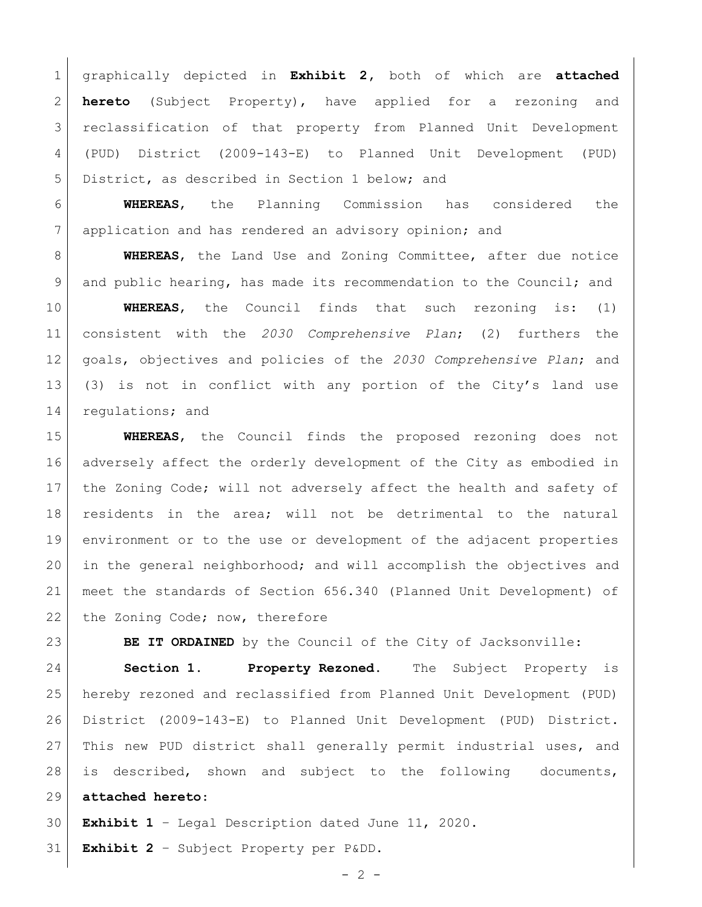graphically depicted in **Exhibit 2,** both of which are **attached hereto** (Subject Property), have applied for a rezoning and reclassification of that property from Planned Unit Development (PUD) District (2009-143-E) to Planned Unit Development (PUD) District, as described in Section 1 below; and

 **WHEREAS**, the Planning Commission has considered the application and has rendered an advisory opinion; and

 **WHEREAS**, the Land Use and Zoning Committee, after due notice and public hearing, has made its recommendation to the Council; and

 **WHEREAS**, the Council finds that such rezoning is: (1) consistent with the *2030 Comprehensive Plan*; (2) furthers the goals, objectives and policies of the *2030 Comprehensive Plan*; and (3) is not in conflict with any portion of the City's land use 14 regulations; and

 **WHEREAS**, the Council finds the proposed rezoning does not adversely affect the orderly development of the City as embodied in the Zoning Code; will not adversely affect the health and safety of residents in the area; will not be detrimental to the natural environment or to the use or development of the adjacent properties in the general neighborhood; and will accomplish the objectives and meet the standards of Section 656.340 (Planned Unit Development) of 22 the Zoning Code; now, therefore

**BE IT ORDAINED** by the Council of the City of Jacksonville:

 **Section 1. Property Rezoned.** The Subject Property is hereby rezoned and reclassified from Planned Unit Development (PUD) District (2009-143-E) to Planned Unit Development (PUD) District. 27 | This new PUD district shall generally permit industrial uses, and is described, shown and subject to the following documents, **attached hereto**:

**Exhibit 1** – Legal Description dated June 11, 2020.

**Exhibit 2** – Subject Property per P&DD.

 $- 2 -$